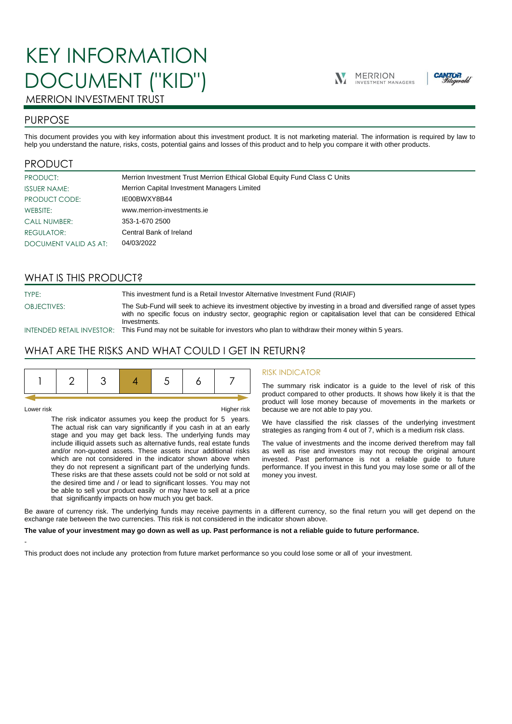# KEY INFORMATION DOCUMENT ("KID")





## MERRION INVESTMENT TRUST

## PURPOSE

This document provides you with key information about this investment product. It is not marketing material. The information is required by law to help you understand the nature, risks, costs, potential gains and losses of this product and to help you compare it with other products.

## PRODUCT

| PRODUCT:              | Merrion Investment Trust Merrion Ethical Global Equity Fund Class C Units |
|-----------------------|---------------------------------------------------------------------------|
| <b>ISSUER NAME:</b>   | Merrion Capital Investment Managers Limited                               |
| PRODUCT CODE:         | IE00BWXY8B44                                                              |
| WEBSITE:              | www.merrion-investments.ie                                                |
| <b>CALL NUMBER:</b>   | 353-1-670 2500                                                            |
| REGULATOR:            | Central Bank of Ireland                                                   |
| DOCUMENT VALID AS AT: | 04/03/2022                                                                |

## WHAT IS THIS PRODUCT?

TYPE: This investment fund is a Retail Investor Alternative Investment Fund (RIAIF) OBJECTIVES: The Sub-Fund will seek to achieve its investment objective by investing in a broad and diversified range of asset types with no specific focus on industry sector, geographic region or capitalisation level that can be considered Ethical **Investments** 

INTENDED RETAIL INVESTOR: This Fund may not be suitable for investors who plan to withdraw their money within 5 years.

## WHAT ARE THE RISKS AND WHAT COULD I GET IN RETURN?

|--|--|--|--|--|--|--|--|

-

Lower risk Higher risk

The risk indicator assumes you keep the product for 5 years. The actual risk can vary significantly if you cash in at an early stage and you may get back less. The underlying funds may include illiquid assets such as alternative funds, real estate funds and/or non-quoted assets. These assets incur additional risks which are not considered in the indicator shown above when they do not represent a significant part of the underlying funds. These risks are that these assets could not be sold or not sold at the desired time and / or lead to significant losses. You may not be able to sell your product easily or may have to sell at a price that significantly impacts on how much you get back.

#### RISK INDICATOR

The summary risk indicator is a guide to the level of risk of this product compared to other products. It shows how likely it is that the product will lose money because of movements in the markets or because we are not able to pay you.

We have classified the risk classes of the underlying investment strategies as ranging from 4 out of 7, which is a medium risk class.

The value of investments and the income derived therefrom may fall as well as rise and investors may not recoup the original amount invested. Past performance is not a reliable guide to future performance. If you invest in this fund you may lose some or all of the money you invest.

Be aware of currency risk. The underlying funds may receive payments in a different currency, so the final return you will get depend on the exchange rate between the two currencies. This risk is not considered in the indicator shown above.

#### **The value of your investment may go down as well as up. Past performance is not a reliable guide to future performance.**

This product does not include any protection from future market performance so you could lose some or all of your investment.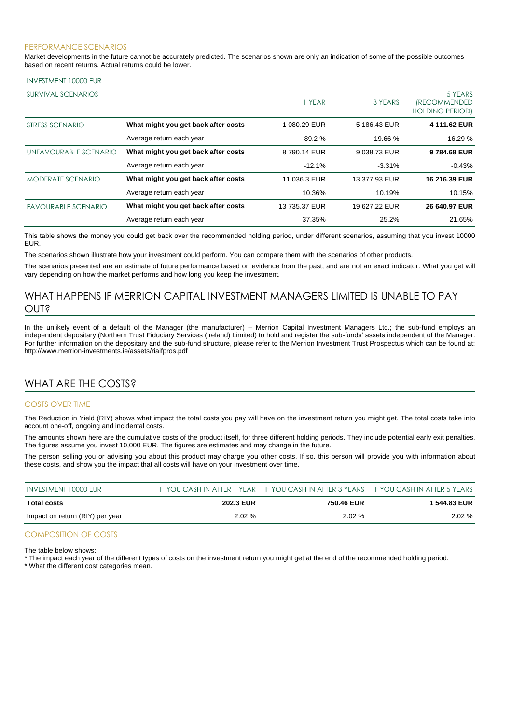#### PERFORMANCE SCENARIOS

Market developments in the future cannot be accurately predicted. The scenarios shown are only an indication of some of the possible outcomes based on recent returns. Actual returns could be lower.

#### INVESTMENT 10000 EUR

| SURVIVAL SCENARIOS         |                                     | 1 YEAR        | 3 YEARS       | 5 YEARS<br><i><b>IRECOMMENDED</b></i><br><b>HOLDING PERIOD)</b> |
|----------------------------|-------------------------------------|---------------|---------------|-----------------------------------------------------------------|
| STRESS SCENARIO            | What might you get back after costs | 1080.29 EUR   | 5 186.43 EUR  | 4 111.62 EUR                                                    |
|                            | Average return each year            | $-89.2%$      | $-19.66%$     | $-16.29%$                                                       |
| UNFAVOURABLE SCENARIO      | What might you get back after costs | 8790.14 EUR   | 9 038.73 EUR  | 9784.68 EUR                                                     |
|                            | Average return each year            | $-12.1%$      | $-3.31%$      | $-0.43%$                                                        |
| <b>MODERATE SCENARIO</b>   | What might you get back after costs | 11 036.3 EUR  | 13 377.93 EUR | 16 216.39 EUR                                                   |
|                            | Average return each year            | 10.36%        | 10.19%        | 10.15%                                                          |
| <b>FAVOURABLE SCENARIO</b> | What might you get back after costs | 13 735.37 EUR | 19 627.22 EUR | 26 640.97 EUR                                                   |
|                            | Average return each year            | 37.35%        | 25.2%         | 21.65%                                                          |

This table shows the money you could get back over the recommended holding period, under different scenarios, assuming that you invest 10000 EUR.

The scenarios shown illustrate how your investment could perform. You can compare them with the scenarios of other products.

The scenarios presented are an estimate of future performance based on evidence from the past, and are not an exact indicator. What you get will vary depending on how the market performs and how long you keep the investment.

## WHAT HAPPENS IF MERRION CAPITAL INVESTMENT MANAGERS LIMITED IS UNABLE TO PAY OUT?

In the unlikely event of a default of the Manager (the manufacturer) – Merrion Capital Investment Managers Ltd.; the sub-fund employs an independent depositary (Northern Trust Fiduciary Services (Ireland) Limited) to hold and register the sub-funds' assets independent of the Manager. For further information on the depositary and the sub-fund structure, please refer to the Merrion Investment Trust Prospectus which can be found at: http://www.merrion-investments.ie/assets/riaifpros.pdf

## WHAT ARE THE COSTS?

#### COSTS OVER TIME

The Reduction in Yield (RIY) shows what impact the total costs you pay will have on the investment return you might get. The total costs take into account one-off, ongoing and incidental costs.

The amounts shown here are the cumulative costs of the product itself, for three different holding periods. They include potential early exit penalties. The figures assume you invest 10,000 EUR. The figures are estimates and may change in the future.

The person selling you or advising you about this product may charge you other costs. If so, this person will provide you with information about these costs, and show you the impact that all costs will have on your investment over time.

| INVESTMENT 10000 EUR            |                  | IF YOU CASH IN AFTER 1 YEAR IF YOU CASH IN AFTER 3 YEARS IF YOU CASH IN AFTER 5 YEARS |              |
|---------------------------------|------------------|---------------------------------------------------------------------------------------|--------------|
| Total costs                     | <b>202.3 EUR</b> | 750.46 EUR                                                                            | 1 544.83 EUR |
| Impact on return (RIY) per year | 2.02 %           | $2.02\%$                                                                              | $2.02\%$     |

#### COMPOSITION OF COSTS

The table below shows:

\* The impact each year of the different types of costs on the investment return you might get at the end of the recommended holding period.

\* What the different cost categories mean.